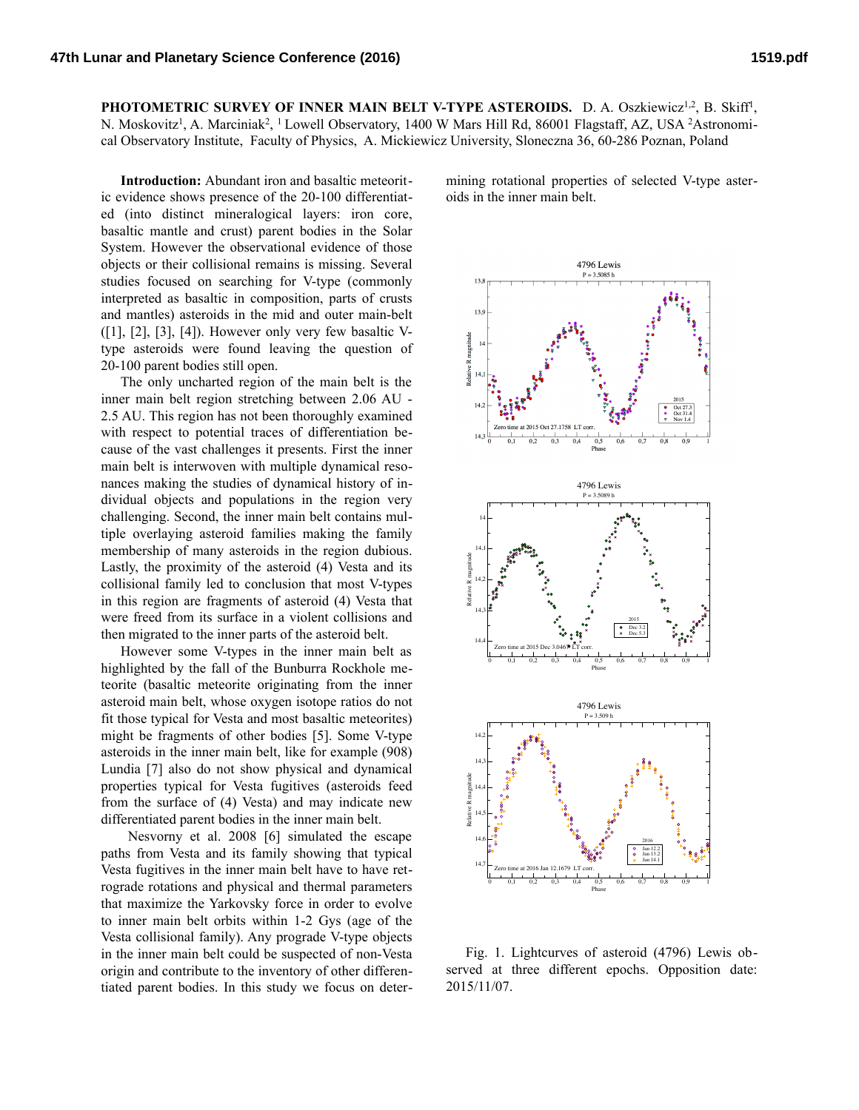**PHOTOMETRIC SURVEY OF INNER MAIN BELT V-TYPE ASTEROIDS.** D. A. Oszkiewicz<sup>1,2</sup>, B. Skiff<sup>1</sup>, N. Moskovitz<sup>1</sup>, A. Marciniak<sup>2</sup>, <sup>1</sup> Lowell Observatory, 1400 W Mars Hill Rd, 86001 Flagstaff, AZ, USA <sup>2</sup>Astronomical Observatory Institute, Faculty of Physics, A. Mickiewicz University, Sloneczna 36, 60-286 Poznan, Poland

**Introduction:** Abundant iron and basaltic meteoritic evidence shows presence of the 20-100 differentiated (into distinct mineralogical layers: iron core, basaltic mantle and crust) parent bodies in the Solar System. However the observational evidence of those objects or their collisional remains is missing. Several studies focused on searching for V-type (commonly interpreted as basaltic in composition, parts of crusts and mantles) asteroids in the mid and outer main-belt  $([1], [2], [3], [4])$ . However only very few basaltic Vtype asteroids were found leaving the question of 20-100 parent bodies still open.

The only uncharted region of the main belt is the inner main belt region stretching between 2.06 AU - 2.5 AU. This region has not been thoroughly examined with respect to potential traces of differentiation because of the vast challenges it presents. First the inner main belt is interwoven with multiple dynamical resonances making the studies of dynamical history of individual objects and populations in the region very challenging. Second, the inner main belt contains multiple overlaying asteroid families making the family membership of many asteroids in the region dubious. Lastly, the proximity of the asteroid (4) Vesta and its collisional family led to conclusion that most V-types in this region are fragments of asteroid (4) Vesta that were freed from its surface in a violent collisions and then migrated to the inner parts of the asteroid belt.

However some V-types in the inner main belt as highlighted by the fall of the Bunburra Rockhole meteorite (basaltic meteorite originating from the inner asteroid main belt, whose oxygen isotope ratios do not fit those typical for Vesta and most basaltic meteorites) might be fragments of other bodies [5]. Some V-type asteroids in the inner main belt, like for example (908) Lundia [7] also do not show physical and dynamical properties typical for Vesta fugitives (asteroids feed from the surface of (4) Vesta) and may indicate new differentiated parent bodies in the inner main belt.

 Nesvorny et al. 2008 [6] simulated the escape paths from Vesta and its family showing that typical Vesta fugitives in the inner main belt have to have retrograde rotations and physical and thermal parameters that maximize the Yarkovsky force in order to evolve to inner main belt orbits within 1-2 Gys (age of the Vesta collisional family). Any prograde V-type objects in the inner main belt could be suspected of non-Vesta origin and contribute to the inventory of other differentiated parent bodies. In this study we focus on determining rotational properties of selected V-type asteroids in the inner main belt.



Fig. 1. Lightcurves of asteroid (4796) Lewis observed at three different epochs. Opposition date: 2015/11/07.